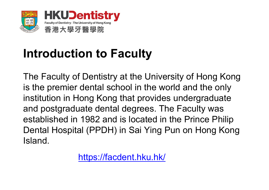

## **Introduction to Faculty**

The Faculty of Dentistry at the University of Hong Kong is the premier dental school in the world and the only institution in Hong Kong that provides undergraduate and postgraduate dental degrees. The Faculty was established in 1982 and is located in the Prince Philip Dental Hospital (PPDH) in Sai Ying Pun on Hong Kong Island.

https://facdent.hku.hk/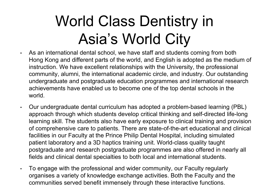# World Class Dentistry in Asia's World City

- • As an international dental school, we have staff and students coming from both Hong Kong and different parts of the world, and English is adopted as the medium of instruction. We have excellent relationships with the University, the professional community, alumni, the international academic circle, and industry. Our outstanding undergraduate and postgraduate education programmes and international research achievements have enabled us to become one of the top dental schools in the world.
- • Our undergraduate dental curriculum has adopted a problem-based learning (PBL) approach through which students develop critical thinking and self-directed life-long learning skill. The students also have early exposure to clinical training and provision of comprehensive care to patients. There are state-of-the-art educational and clinical facilities in our Faculty at the Prince Philip Dental Hospital, including simulated patient laboratory and a 3D haptics training unit. World-class quality taught postgraduate and research postgraduate programmes are also offered in nearly all fields and clinical dental specialties to both local and international students.
- • To engage with the professional and wider community, our Faculty regularly organises a variety of knowledge exchange activities. Both the Faculty and the communities served benefit immensely through these interactive functions.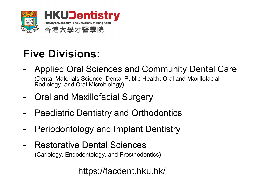

### **Five Divisions:**

- - Applied Oral Sciences and Community Dental Care (Dental Materials Science, Dental Public Health, Oral and Maxillofacial Radiology, and Oral Microbiology)
- -Oral and Maxillofacial Surgery
- -Paediatric Dentistry and Orthodontics
- -Periodontology and Implant Dentistry
- - Restorative Dental Sciences (Cariology, Endodontology, and Prosthodontics)

https://facdent.hku.hk/